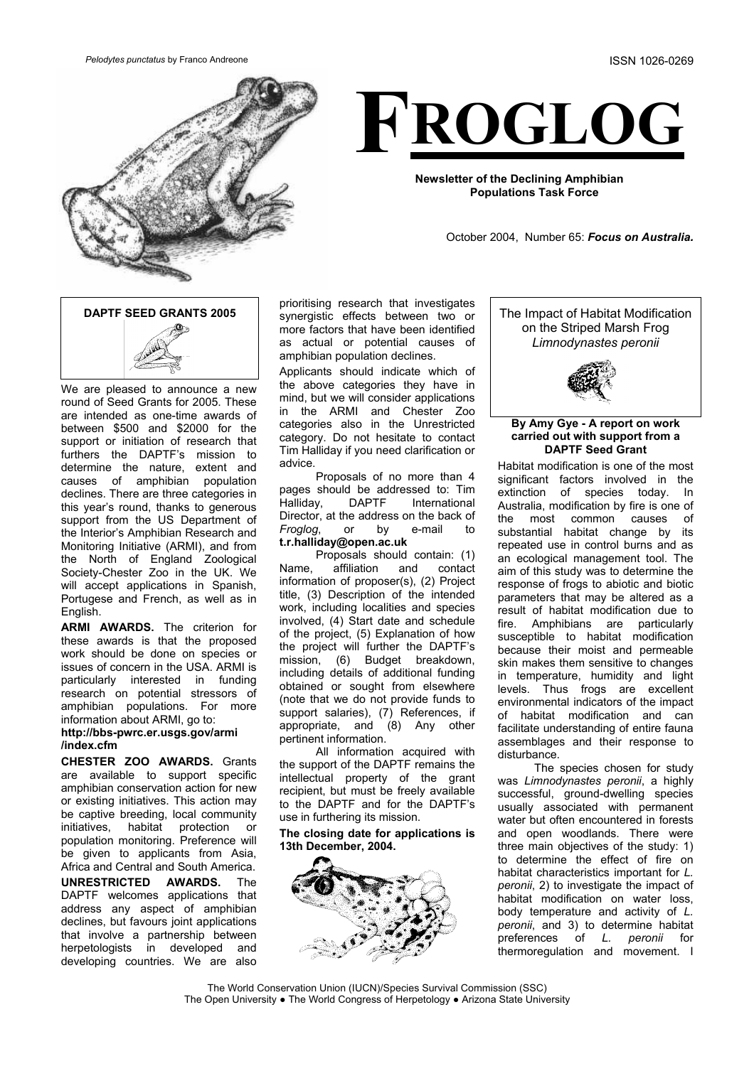*Pelodytes punctatus* by Franco Andreone ISSN 1026-0269





**Newsletter of the Declining Amphibian Populations Task Force**

October 2004, Number 65: *Focus on Australia.*



We are pleased to announce a new round of Seed Grants for 2005. These are intended as one-time awards of between \$500 and \$2000 for the support or initiation of research that furthers the DAPTF's mission to determine the nature, extent and causes of amphibian population declines. There are three categories in this year's round, thanks to generous support from the US Department of the Interior's Amphibian Research and Monitoring Initiative (ARMI), and from the North of England Zoological Society-Chester Zoo in the UK. We will accept applications in Spanish, Portugese and French, as well as in English.

**ARMI AWARDS.** The criterion for these awards is that the proposed work should be done on species or issues of concern in the USA. ARMI is particularly interested in funding research on potential stressors of amphibian populations. For more information about ARMI, go to:

## **http://bbs-pwrc.er.usgs.gov/armi /index.cfm**

**CHESTER ZOO AWARDS.** Grants are available to support specific amphibian conservation action for new or existing initiatives. This action may be captive breeding, local community initiatives, habitat protection or population monitoring. Preference will be given to applicants from Asia, Africa and Central and South America.

**UNRESTRICTED AWARDS.** The DAPTF welcomes applications that address any aspect of amphibian declines, but favours joint applications that involve a partnership between herpetologists in developed and developing countries. We are also

prioritising research that investigates synergistic effects between two or more factors that have been identified as actual or potential causes of amphibian population declines.

Applicants should indicate which of the above categories they have in mind, but we will consider applications in the ARMI and Chester Zoo categories also in the Unrestricted category. Do not hesitate to contact Tim Halliday if you need clarification or advice.

Proposals of no more than 4 pages should be addressed to: Tim<br>Halliday, DAPTF International Halliday, DAPTF International Director, at the address on the back of *Froglog*, or by e-mail to **[t.r.halliday@open.ac.uk](mailto:t.r.halliday@open.ac.uk)**

Proposals should contain: (1) Name, affiliation and contact information of proposer(s), (2) Project title, (3) Description of the intended work, including localities and species involved, (4) Start date and schedule of the project, (5) Explanation of how the project will further the DAPTF's mission, (6) Budget breakdown, including details of additional funding obtained or sought from elsewhere (note that we do not provide funds to support salaries), (7) References, if appropriate, and (8) Any other pertinent information.

All information acquired with the support of the DAPTF remains the intellectual property of the grant recipient, but must be freely available to the DAPTF and for the DAPTF's use in furthering its mission.

### **The closing date for applications is 13th December, 2004.**



The Impact of Habitat Modification on the Striped Marsh Frog *Limnodynastes peronii* 



#### **By Amy Gye - A report on work carried out with support from a DAPTF Seed Grant**

Habitat modification is one of the most significant factors involved in the extinction of species today. In Australia, modification by fire is one of the most common causes of substantial habitat change by its repeated use in control burns and as an ecological management tool. The aim of this study was to determine the response of frogs to abiotic and biotic parameters that may be altered as a result of habitat modification due to fire. Amphibians are particularly susceptible to habitat modification because their moist and permeable skin makes them sensitive to changes in temperature, humidity and light levels. Thus frogs are excellent environmental indicators of the impact of habitat modification and can facilitate understanding of entire fauna assemblages and their response to disturbance.

The species chosen for study was *Limnodynastes peronii*, a highly successful, ground-dwelling species usually associated with permanent water but often encountered in forests and open woodlands. There were three main objectives of the study: 1) to determine the effect of fire on habitat characteristics important for *L. peronii*, 2) to investigate the impact of habitat modification on water loss, body temperature and activity of *L. peronii*, and 3) to determine habitat preferences of L. *peronii* for of *L. peronii* for thermoregulation and movement. I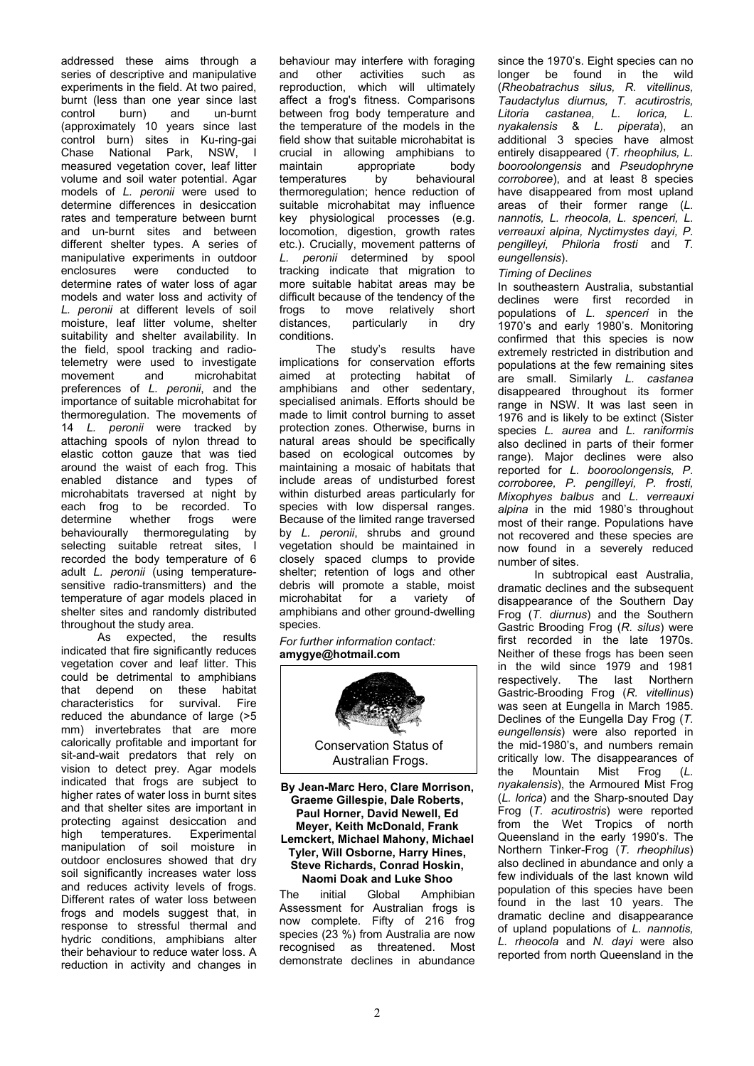addressed these aims through a series of descriptive and manipulative experiments in the field. At two paired, burnt (less than one year since last control burn) and un-burnt (approximately 10 years since last control burn) sites in Ku-ring-gai Chase National Park, NSW, I measured vegetation cover, leaf litter volume and soil water potential. Agar models of *L. peronii* were used to determine differences in desiccation rates and temperature between burnt and un-burnt sites and between different shelter types. A series of manipulative experiments in outdoor enclosures were conducted to determine rates of water loss of agar models and water loss and activity of *L. peronii* at different levels of soil moisture, leaf litter volume, shelter suitability and shelter availability. In the field, spool tracking and radiotelemetry were used to investigate movement and microhabitat preferences of *L. peronii*, and the importance of suitable microhabitat for thermoregulation. The movements of 14 *L. peronii* were tracked by attaching spools of nylon thread to elastic cotton gauze that was tied around the waist of each frog. This enabled distance and types of microhabitats traversed at night by each frog to be recorded. To<br>determine whether frogs were determine behaviourally thermoregulating by selecting suitable retreat sites, I recorded the body temperature of 6 adult *L. peronii* (using temperaturesensitive radio-transmitters) and the temperature of agar models placed in shelter sites and randomly distributed throughout the study area.

As expected, the results indicated that fire significantly reduces vegetation cover and leaf litter. This could be detrimental to amphibians that depend on these habitat characteristics for survival. Fire reduced the abundance of large (>5 mm) invertebrates that are more calorically profitable and important for sit-and-wait predators that rely on vision to detect prey. Agar models indicated that frogs are subject to higher rates of water loss in burnt sites and that shelter sites are important in protecting against desiccation and high temperatures. Experimental manipulation of soil moisture in outdoor enclosures showed that dry soil significantly increases water loss and reduces activity levels of frogs. Different rates of water loss between frogs and models suggest that, in response to stressful thermal and hydric conditions, amphibians alter their behaviour to reduce water loss. A reduction in activity and changes in

behaviour may interfere with foraging and other activities such as reproduction, which will ultimately affect a frog's fitness. Comparisons between frog body temperature and the temperature of the models in the field show that suitable microhabitat is crucial in allowing amphibians to maintain appropriate body temperatures by behavioural thermoregulation; hence reduction of suitable microhabitat may influence key physiological processes (e.g. locomotion, digestion, growth rates etc.). Crucially, movement patterns of *L. peronii* determined by spool tracking indicate that migration to more suitable habitat areas may be difficult because of the tendency of the frogs to move relatively short distances, particularly in dry conditions.

The study's results have implications for conservation efforts aimed at protecting habitat of amphibians and other sedentary, specialised animals. Efforts should be made to limit control burning to asset protection zones. Otherwise, burns in natural areas should be specifically based on ecological outcomes by maintaining a mosaic of habitats that include areas of undisturbed forest within disturbed areas particularly for species with low dispersal ranges. Because of the limited range traversed by *L. peronii*, shrubs and ground vegetation should be maintained in closely spaced clumps to provide shelter; retention of logs and other debris will promote a stable, moist<br>microhabitat for a variety of microhabitat for a amphibians and other ground-dwelling species.

*For further information* c*ontact:* **amygye@hotmail.com** 



Conservation Status of Australian Frogs.

**By Jean-Marc Hero, Clare Morrison, Graeme Gillespie, Dale Roberts, Paul Horner, David Newell, Ed Meyer, Keith McDonald, Frank Lemckert, Michael Mahony, Michael Tyler, Will Osborne, Harry Hines, Steve Richards, Conrad Hoskin, Naomi Doak and Luke Shoo**

The initial Global Amphibian Assessment for Australian frogs is now complete. Fifty of 216 frog species (23 %) from Australia are now recognised as threatened. Most demonstrate declines in abundance since the 1970's. Eight species can no longer be found in the wild (*Rheobatrachus silus, R. vitellinus, Taudactylus diurnus, T. acutirostris, Litoria castanea, L. lorica, L. nyakalensis* & *L. piperata*), an additional 3 species have almost entirely disappeared (*T. rheophilus, L. booroolongensis* and *Pseudophryne corroboree*), and at least 8 species have disappeared from most upland areas of their former range (*L. nannotis, L. rheocola, L. spenceri, L. verreauxi alpina, Nyctimystes dayi, P. pengilleyi, Philoria frosti* and *T. eungellensis*).

### *Timing of Declines*

In southeastern Australia, substantial declines were first recorded in populations of *L. spenceri* in the 1970's and early 1980's. Monitoring confirmed that this species is now extremely restricted in distribution and populations at the few remaining sites are small. Similarly *L. castanea* disappeared throughout its former range in NSW. It was last seen in 1976 and is likely to be extinct (Sister species *L. aurea* and *L. raniformis* also declined in parts of their former range). Major declines were also reported for *L. booroolongensis, P. corroboree, P. pengilleyi, P. frosti, Mixophyes balbus* and *L. verreauxi alpina* in the mid 1980's throughout most of their range. Populations have not recovered and these species are now found in a severely reduced number of sites.

In subtropical east Australia, dramatic declines and the subsequent disappearance of the Southern Day Frog (*T. diurnus*) and the Southern Gastric Brooding Frog (*R. silus*) were first recorded in the late 1970s. Neither of these frogs has been seen in the wild since 1979 and 1981 respectively. The last Northern Gastric-Brooding Frog (*R. vitellinus*) was seen at Eungella in March 1985. Declines of the Eungella Day Frog (*T. eungellensis*) were also reported in the mid-1980's, and numbers remain critically low. The disappearances of the Mountain Mist Frog (*L. nyakalensis*), the Armoured Mist Frog (*L. lorica*) and the Sharp-snouted Day Frog (*T. acutirostris*) were reported from the Wet Tropics of north Queensland in the early 1990's. The Northern Tinker-Frog (*T. rheophilus*) also declined in abundance and only a few individuals of the last known wild population of this species have been found in the last 10 years. The dramatic decline and disappearance of upland populations of *L. nannotis, L. rheocola* and *N. dayi* were also reported from north Queensland in the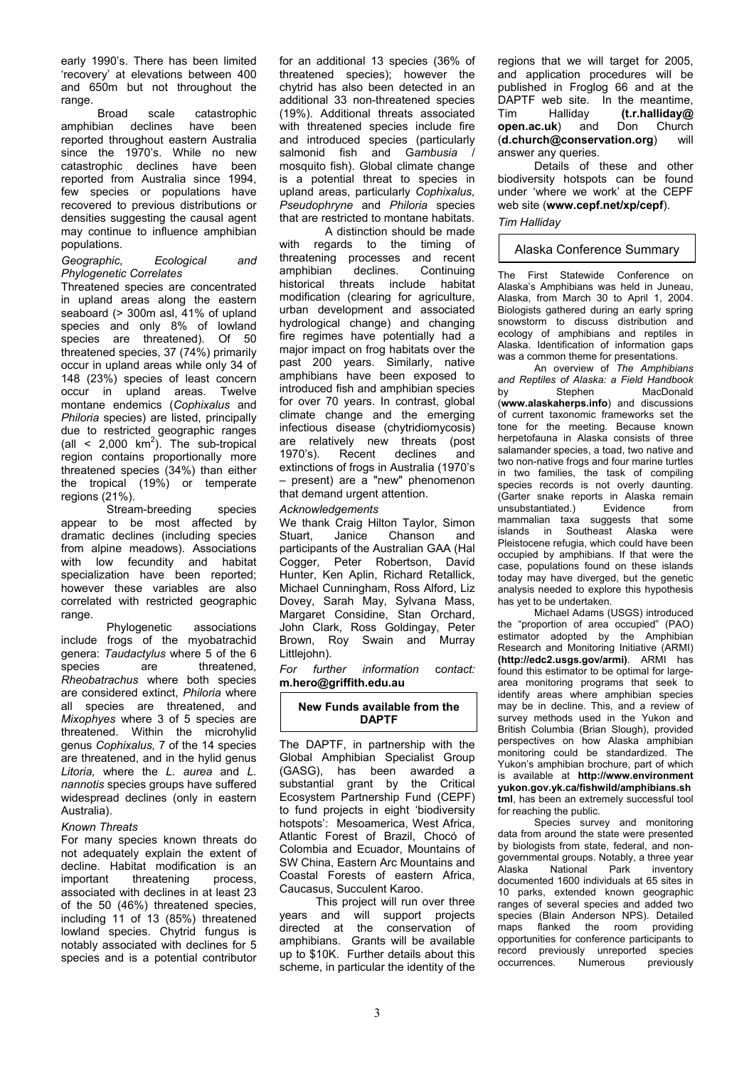early 1990's. There has been limited 'recovery' at elevations between 400 and 650m but not throughout the range.

Broad scale catastrophic amphibian declines have been reported throughout eastern Australia since the 1970's. While no new catastrophic declines have been reported from Australia since 1994, few species or populations have recovered to previous distributions or densities suggesting the causal agent may continue to influence amphibian populations.

#### *Geographic, Ecological and Phylogenetic Correlates*

Threatened species are concentrated in upland areas along the eastern seaboard (> 300m asl, 41% of upland species and only 8% of lowland species are threatened). Of 50 threatened species, 37 (74%) primarily occur in upland areas while only 34 of 148 (23%) species of least concern occur in upland areas. Twelve montane endemics (*Cophixalus* and *Philoria* species) are listed, principally due to restricted geographic ranges (all  $\leq$  2,000 km<sup>2</sup>). The sub-tropical region contains proportionally more threatened species (34%) than either the tropical (19%) or temperate regions (21%).

 Stream-breeding species appear to be most affected by dramatic declines (including species from alpine meadows). Associations with low fecundity and habitat specialization have been reported; however these variables are also correlated with restricted geographic range.

Phylogenetic associations include frogs of the myobatrachid genera: *Taudactylus* where 5 of the 6 species are threatened, *Rheobatrachus* where both species are considered extinct, *Philoria* where all species are threatened, and *Mixophyes* where 3 of 5 species are threatened. Within the microhylid genus *Cophixalus,* 7 of the 14 species are threatened, and in the hylid genus *Litoria,* where the *L. aurea* and *L. nannotis* species groups have suffered widespread declines (only in eastern Australia).

## *Known Threats*

For many species known threats do not adequately explain the extent of decline. Habitat modification is an important threatening process, associated with declines in at least 23 of the 50 (46%) threatened species, including 11 of 13 (85%) threatened lowland species. Chytrid fungus is notably associated with declines for 5 species and is a potential contributor for an additional 13 species (36% of threatened species); however the chytrid has also been detected in an additional 33 non-threatened species (19%). Additional threats associated with threatened species include fire and introduced species (particularly salmonid fish and G*ambusia* / mosquito fish). Global climate change is a potential threat to species in upland areas, particularly *Cophixalus, Pseudophryne* and *Philoria* species that are restricted to montane habitats.

A distinction should be made with regards to the timing of threatening processes and recent amphibian declines. Continuing historical threats include habitat modification (clearing for agriculture, urban development and associated hydrological change) and changing fire regimes have potentially had a major impact on frog habitats over the past 200 years. Similarly, native amphibians have been exposed to introduced fish and amphibian species for over 70 years. In contrast, global climate change and the emerging infectious disease (chytridiomycosis) are relatively new threats (post 1970's). Recent declines and extinctions of frogs in Australia (1970's – present) are a "new" phenomenon that demand urgent attention.

### *Acknowledgements*

We thank Craig Hilton Taylor, Simon Stuart, Janice Chanson and participants of the Australian GAA (Hal Cogger, Peter Robertson, David Hunter, Ken Aplin, Richard Retallick, Michael Cunningham, Ross Alford, Liz Dovey, Sarah May, Sylvana Mass, Margaret Considine, Stan Orchard, John Clark, Ross Goldingay, Peter Brown, Roy Swain and Murray Littlejohn).

*For further information* c*ontact:* **m.hero@griffith.edu.au** 

## **New Funds available from the DAPTF**

The DAPTF, in partnership with the Global Amphibian Specialist Group (GASG), has been awarded a substantial grant by the Critical Ecosystem Partnership Fund (CEPF) to fund projects in eight 'biodiversity hotspots': Mesoamerica, West Africa, Atlantic Forest of Brazil, Chocó of Colombia and Ecuador, Mountains of SW China, Eastern Arc Mountains and Coastal Forests of eastern Africa, Caucasus, Succulent Karoo.

This project will run over three years and will support projects directed at the conservation of amphibians. Grants will be available up to \$10K. Further details about this scheme, in particular the identity of the

regions that we will target for 2005, and application procedures will be published in Froglog 66 and at the DAPTF web site. In the meantime, Tim Halliday **(t.r.halliday@ open.ac.uk**) and Don Church (**d.church@conservation.org**) will answer any queries.

Details of these and other biodiversity hotspots can be found under 'where we work' at the CEPF web site (**www.cepf.net/xp/cepf**).

# *Tim Halliday*

## Alaska Conference Summary

The First Statewide Conference on Alaska's Amphibians was held in Juneau, Alaska, from March 30 to April 1, 2004. Biologists gathered during an early spring snowstorm to discuss distribution and ecology of amphibians and reptiles in Alaska. Identification of information gaps was a common theme for presentations.

An overview of *The Amphibians and Reptiles of Alaska: a Field Handbook* by Stephen MacDonald (**[www.alaskaherps.info](http://www.alaskaherps.info)**) and discussions of current taxonomic frameworks set the tone for the meeting. Because known herpetofauna in Alaska consists of three salamander species, a toad, two native and two non-native frogs and four marine turtles in two families, the task of compiling species records is not overly daunting. (Garter snake reports in Alaska remain<br>unsubstantiated.) Evidence from unsubstantiated.) Evidence from mammalian taxa suggests that some islands in Southeast Alaska were Pleistocene refugia, which could have been occupied by amphibians. If that were the case, populations found on these islands today may have diverged, but the genetic analysis needed to explore this hypothesis has yet to be undertaken.

Michael Adams (USGS) introduced the "proportion of area occupied" (PAO) estimator adopted by the Amphibian Research and Monitoring Initiative (ARMI) **(http://edc2.usgs.gov/armi)**. ARMI has found this estimator to be optimal for largearea monitoring programs that seek to identify areas where amphibian species may be in decline. This, and a review of survey methods used in the Yukon and British Columbia (Brian Slough), provided perspectives on how Alaska amphibian monitoring could be standardized. The Yukon's amphibian brochure, part of which is available at **http://www.environment yukon.gov.yk.ca/fishwild/amphibians.sh tml**, has been an extremely successful tool for reaching the public.

Species survey and monitoring data from around the state were presented by biologists from state, federal, and nongovernmental groups. Notably, a three year<br>Alaska Mational Park inventory Alaska National Park inventory documented 1600 individuals at 65 sites in 10 parks, extended known geographic ranges of several species and added two species (Blain Anderson NPS). Detailed maps flanked the room providing opportunities for conference participants to record previously unreported species occurrences. Numerous previously